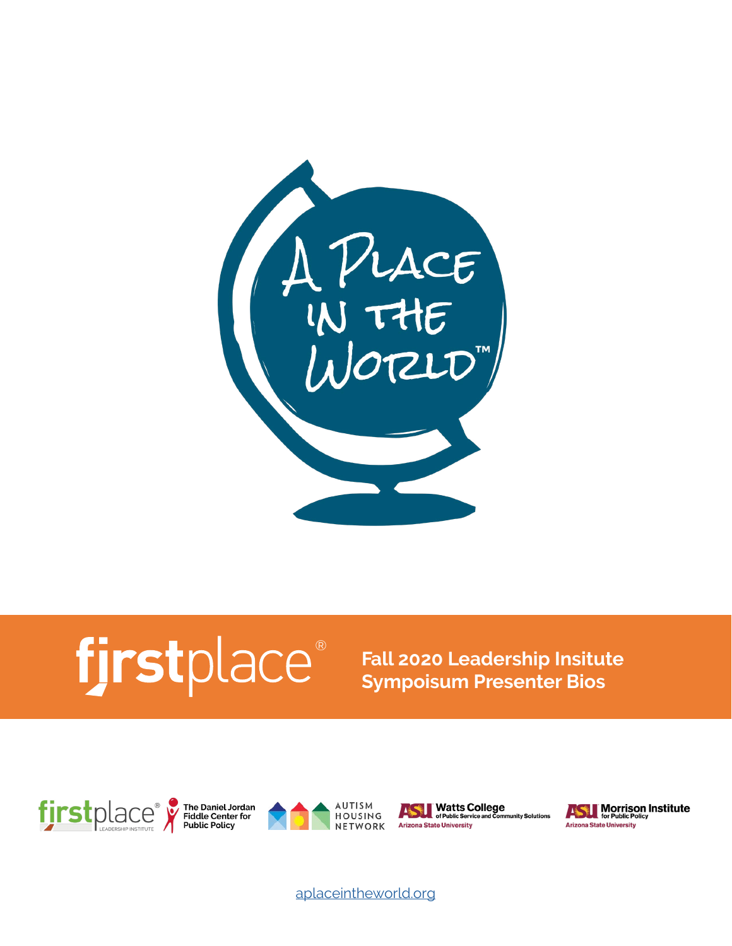

# firstplace®

**Fall 2020 Leadership Insitute Sympoisum Presenter Bios**











[aplaceintheworld.org](http://www.aplaceintheworld.org)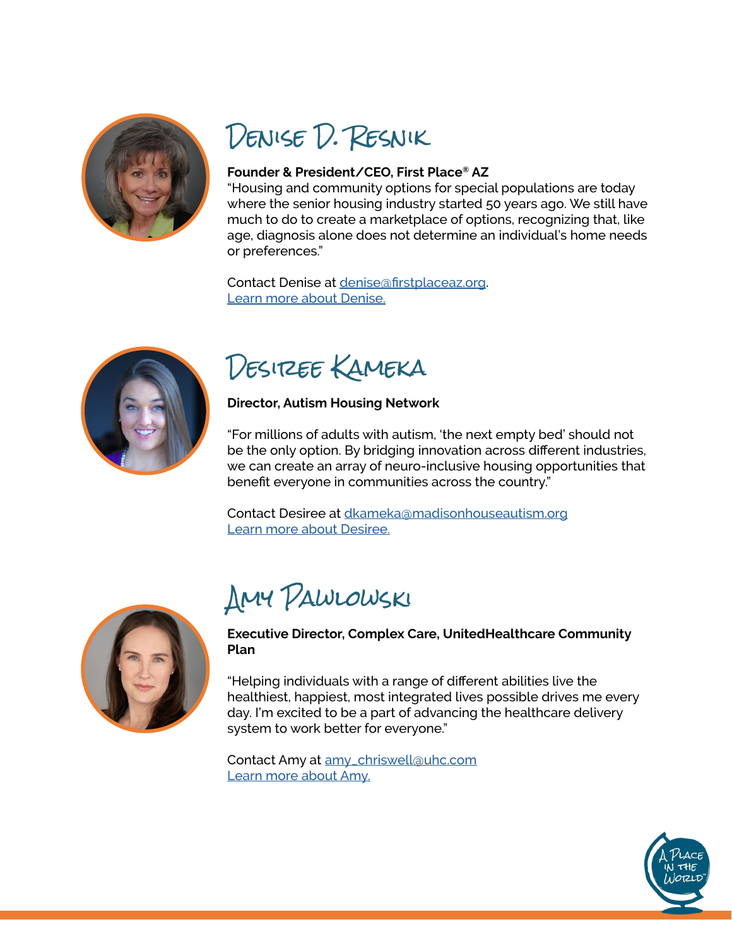

## Denise D. Resnik

#### **Founder & President/CEO, First Place® AZ**

"Housing and community options for special populations are today where the senior housing industry started 50 years ago. We still have much to do to create a marketplace of options, recognizing that, like age, diagnosis alone does not determine an individual's home needs or preferences."

Contact Denise at [denise@firstplaceaz.org](mailto:denise@firstplaceaz.org). [Learn more about Denise.](https://www.firstplaceaz.org/about/team/denise-d-resnik/)



Desiree Kameka

#### **Director, Autism Housing Network**

"For millions of adults with autism, 'the next empty bed' should not be the only option. By bridging innovation across different industries, we can create an array of neuro-inclusive housing opportunities that benefit everyone in communities across the country."

Contact Desiree at<dkameka@madisonhouseautism.org> [Learn more about Desiree.](https://www.madisonhouseautism.org/board-staff-and-advisors/desiree-kameka/)



### Amy Pawlowski

#### **Executive Director, Complex Care, UnitedHealthcare Community Plan**

"Helping individuals with a range of different abilities live the healthiest, happiest, most integrated lives possible drives me every day. I'm excited to be a part of advancing the healthcare delivery system to work better for everyone."

Contact Amy at [amy\\_chriswell@uhc.com](amy_chriswell@uhc.com) [Learn more about Amy.](https://www.firstplaceaz.org/about/team/amy-pawlowski/)

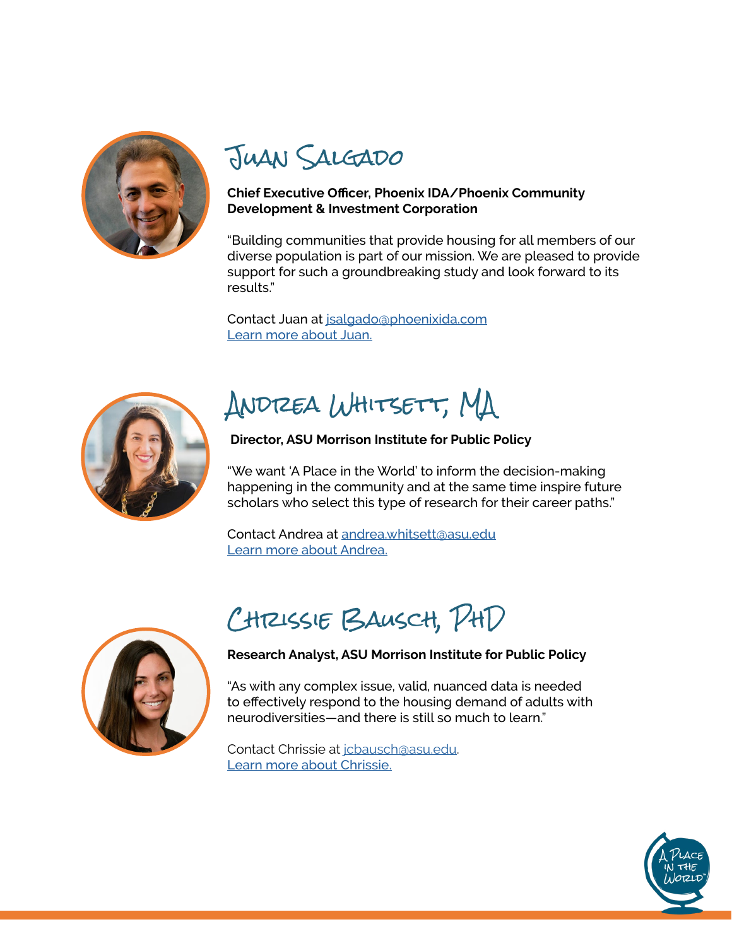

### Juan Salgado

#### **Chief Executive Officer, Phoenix IDA/Phoenix Community Development & Investment Corporation**

"Building communities that provide housing for all members of our diverse population is part of our mission. We are pleased to provide support for such a groundbreaking study and look forward to its results."

Contact Juan at<jsalgado@phoenixida.com> [Learn more about Juan.](https://www.firstplaceaz.org/about/team/juan-salgado)



# Andrea Whitsett, MA

#### **Director, ASU Morrison Institute for Public Policy**

"We want 'A Place in the World' to inform the decision-making happening in the community and at the same time inspire future scholars who select this type of research for their career paths."

Contact Andrea at <andrea.whitsett@asu.edu> [Learn more about Andrea.](https://morrisoninstitute.asu.edu/content/andrea-whitsett-0")



### Chrissie Bausch, PhD

#### **Research Analyst, ASU Morrison Institute for Public Policy**

"As with any complex issue, valid, nuanced data is needed to effectively respond to the housing demand of adults with neurodiversities—and there is still so much to learn."

Contact Chrissie at [jcbausch@asu.edu](mailto:jcbausch@asu.edu). [Learn more about Chrissie.](https://morrisoninstitute.asu.edu/content/chrissie-bausch)